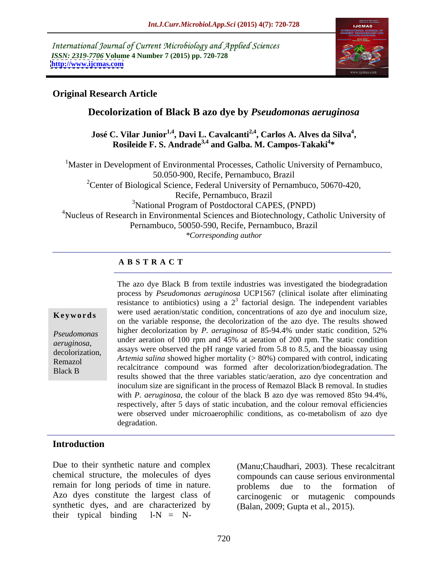International Journal of Current Microbiology and Applied Sciences *ISSN: 2319-7706* **Volume 4 Number 7 (2015) pp. 720-728 <http://www.ijcmas.com>**



### **Original Research Article**

# **Decolorization of Black B azo dye by** *Pseudomonas aeruginosa*

José C. Vilar Junior<sup>1,4</sup>, Davi L. Cavalcanti<sup>2,4</sup>, Carlos A. Alves da Silva<sup>4</sup>, Rosileide F. S. Andrade<sup>3,4</sup> and Galba. M. Campos-Takaki<sup>4\*</sup> **\*** 

<sup>1</sup>Master in Development of Environmental Processes, Catholic University of Pernambuco, 50.050-900, Recife, Pernambuco, Brazil <sup>2</sup>Center of Biological Science, Federal University of Pernambuco, 50670-420, Recife, Pernambuco, Brazil <sup>3</sup>National Program of Postdoctoral CAPES, (PNPD) 4Nucleus of Research in Environmental Sciences and Biotechnology, Catholic University of Pernambuco, 50050-590, Recife, Pernambuco, Brazil *\*Corresponding author*

## **A B S T R A C T**

Black B

The azo dye Black B from textile industries was investigated the biodegradation process by *Pseudomonas aeruginosa* UCP1567 (clinical isolate after eliminating resistance to antibiotics) using a  $2<sup>3</sup>$  factorial design. The independent variables **Keywords** were used aeration/static condition, concentrations of azo dye and inoculum size, on the variable response, the decolorization of the azo dye. The results showed higher decolorization by *P. aeruginosa* of 85-94.4% under static condition, 52% *Pseudomonas*  under aeration of 100 rpm and 45% at aeration of 200 rpm. The static condition aeruginosa,<br>decolorization, assays were observed the pH range varied from 5.8 to 8.5, and the bioassay using<br>decolorization, *Artemia salina* showed higher mortality (> 80%) compared with control, indicating Remazol recalcitrance compound was formed after decolorization/biodegradation. The results showed that the three variables static/aeration, azo dye concentration and inoculum size are significant in the process of Remazol Black B removal. In studies with *P. aeruginosa*, the colour of the black B azo dye was removed 85to 94.4%, respectively, after 5 days of static incubation, and the colour removal efficiencies were observed under microaerophilic conditions, as co-metabolism of azo dye degradation.

### **Introduction**

Due to their synthetic nature and complex chemical structure, the molecules of dyes remain for long periods of time in nature. <br> problems due to the formation of Azo dyes constitute the largest class of synthetic dyes, and are characterized by their typical binding  $l-N = N-$ 

(Manu;Chaudhari, 2003). These recalcitrant compounds can cause serious environmental problems due to the formation of carcinogenic or mutagenic compounds (Balan, 2009; Gupta et al., 2015).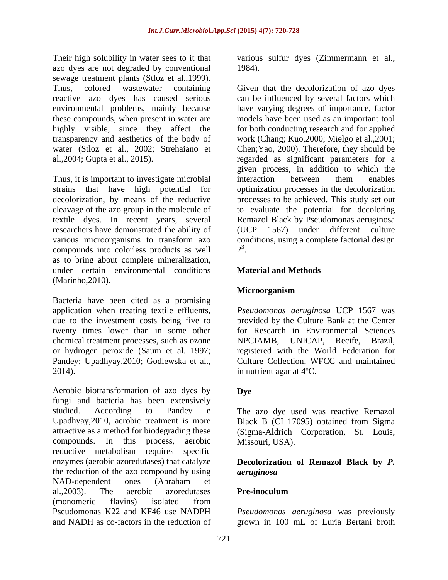Their high solubility in water sees to it that various sulfur dyes (Zimmermann et al., azo dyes are not degraded by conventional sewage treatment plants (Stloz et al.,1999). environmental problems, mainly because

Thus, it is important to investigate microbial interaction between them enables researchers have demonstrated the ability of compounds into colorless products as well  $2^3$ . as to bring about complete mineralization, under certain environmental conditions Material and Methods (Marinho,2010).

Bacteria have been cited as a promising chemical treatment processes, such as ozone MPCIAMB, UNICAP, Recife, Brazil,

Aerobic biotransformation of azo dyes by Dve fungi and bacteria has been extensively studied. According to Pandey e The azo dye used was reactive Remazol Upadhyay,2010, aerobic treatment is more Black B (CI 17095) obtained from Sigma attractive as a method for biodegrading these (Sigma-Aldrich Corporation, St. Louis, compounds. In this process, aerobic reductive metabolism requires specific enzymes (aerobic azoredutases) that catalyze **Decolorization of Remazol Black by** *P.*  the reduction of the azo compound by using *aeruginosa* NAD-dependent ones (Abraham et al., 2003). The aerobic azoredutases **Pre-inoculum** (monomeric flavins) isolated from Pseudomonas K22 and KF46 use NADPH *Pseudomonas aeruginosa* was previously and NADH as co-factors in the reduction of grown in 100 mL of Luria Bertani broth

1984).

Thus, colored wastewater containing Given that the decolorization of azo dyes reactive azo dyes has caused serious can be influenced by several factors which these compounds, when present in water are models have been used as an important tool highly visible, since they affect the for both conducting research and for applied transparency and aesthetics of the body of work (Chang; Kuo,2000; Mielgo et al.,2001; water (Stloz et al., 2002; Strehaiano et Chen; Yao, 2000). Therefore, they should be al.,2004; Gupta et al., 2015). regarded as significant parameters for a strains that have high potential for optimization processes in the decolorization decolorization, by means of the reductive processes to be achieved. This study set out cleavage of the azo group in the molecule of to evaluate the potential for decoloring textile dyes. In recent years, several Remazol Black by Pseudomonas aeruginosa various microorganisms to transform azo conditions, using a complete factorial design have varying degrees of importance, factor given process, in addition to which the interaction between them enables 1567) under different culture  $2<sup>3</sup>$ . 3 . A construction of the construction of the construction of the construction of the construction of the construction of the construction of the construction of the construction of the construction of the construction of th

# **Material and Methods**

# **Microorganism**

application when treating textile effluents, *Pseudomonas aeruginosa* UCP 1567 was due to the investment costs being five to provided by the Culture Bank at the Center twenty times lower than in some other for Research in Environmental Sciences or hydrogen peroxide (Saum et al. 1997; registered with the World Federation for Pandey; Upadhyay,2010; Godlewska et al., Culture Collection, WFCC and maintained 2014).  $\qquad \qquad$  in nutrient agar at 4<sup>o</sup>C. NPCIAMB, UNICAP, Recife, Brazil,

## **Dye**

Missouri, USA).

# *aeruginosa*

## **Pre-inoculum**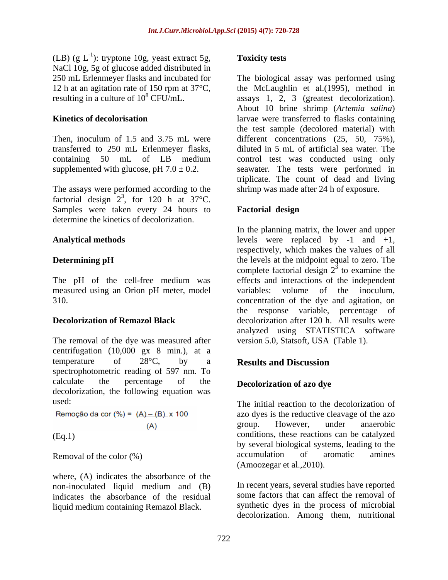(LB) (g  $L^{-1}$ ): tryptone 10g, yeast extract 5g, **Toxicity tests** NaCl 10g, 5g of glucose added distributed in

The assays were performed according to the factorial design  $2^3$ , for 120 h at 37°C. , for 120 h at  $37^{\circ}$ C. Samples were taken every 24 hours to **Factorial design** determine the kinetics of decolorization.

measured using an Orion pH meter, model variables: volume of the inoculum,

The removal of the dye was measured after centrifugation (10,000 gx 8 min.), at a temperature of  $28^{\circ}$ C, by a **Results and Discussion** spectrophotometric reading of 597 nm. To calculate the percentage of the **Decolorization of azo dye** decolorization, the following equation was

Remoção da cor (%) =  $(A) - (B) x 100$ 

where, (A) indicates the absorbance of the indicates the absorbance of the residual liquid medium containing Remazol Black.

### **Toxicity tests**

250 mL Erlenmeyer flasks and incubated for The biological assay was performed using 12 h at an agitation rate of 150 rpm at 37°C, the McLaughlin et al.(1995), method in resulting in a culture of  $10^8$  CFU/mL. assays 1, 2, 3 (greatest decolorization). **Kinetics of decolorisation** larvae were transferred to flasks containing Then, inoculum of 1.5 and 3.75 mL were different concentrations (25, 50, 75%), transferred to 250 mL Erlenmeyer flasks, diluted in 5 mL of artificial sea water. The containing 50 mL of LB medium control test was conducted using only supplemented with glucose,  $pH 7.0 \pm 0.2$ . seawater. The tests were performed in About 10 brine shrimp (*Artemia salina*) the test sample (decolored material) with triplicate. The count of dead and living shrimp was made after 24 h of exposure.

# **Factorial design**

**Analytical methods**  levels were replaced by -1 and +1, **Determining pH** the levels at the midpoint equal to zero. The The pH of the cell-free medium was effects and interactions of the independent 310. concentration of the dye and agitation, on **Decolorization of Remazol Black** decolorization after 120 h. All results were In the planning matrix, the lower and upper respectively, which makes the values of all complete factorial design  $2<sup>3</sup>$  to examine the  $\frac{3}{2}$  to examine the to examine the variables: volume of the inoculum, the response variable, percentage of analyzed using STATISTICA software version 5.0, Statsoft, USA (Table 1).

# **Results and Discussion**

# **Decolorization of azo dye**

used: The initial reaction to the decolorization of (A) group. However, under anaerobic<br>
conditions, these reactions can be catalyzed Removal of the color (%) accumulation of aromatic amines azo dyes is the reductive cleavage of the azo group. However, under anaerobic by several biological systems, leading to the accumulation of aromatic amines (Amoozegar et al.,2010).

non-inoculated liquid medium and (B) In recent years, several studies have reported In recent years, several studies have reported some factors that can affect the removal of synthetic dyes in the process of microbial decolorization. Among them, nutritional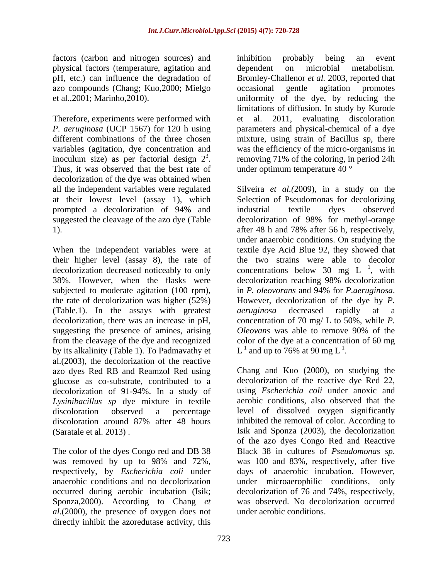factors (carbon and nitrogen sources) and inhibition probably being an event physical factors (temperature, agitation and azo compounds (Chang; Kuo,2000; Mielgo

inoculum size) as per factorial design  $2^3$ . removing 71% of the coloring, in period 24h<br>Thus, it was observed that the best rate of under optimum temperature 40  $\degree$ decolorization of the dye was obtained when all the independent variables were regulated prompted a decolorization of 94% and

When the independent variables were at textile dye Acid Blue 92, they showed that their higher level (assay 8), the rate of the two strains were able to decolor decolorization decreased noticeably to only concentrations below 30 mg L $^{\perp}$ , with 38%. However, when the flasks were subjected to moderate agitation (100 rpm), in *P. oleovorans* and 94% for *P. aeruginosa*. the rate of decolorization was higher  $(52%)$  However, decolorization of the dye by P. (Table.1). In the assays with greatest aeruginosa decreased rapidly at a decolorization, there was an increase in pH, suggesting the presence of amines, arising *Oleovans* was able to remove 90% of the from the cleavage of the dye and recognized color of the dye at a concentration of 60 mg by its alkalinity (Table 1). To Padmavathy et al.(2003), the decolorization of the reactive azo dyes Red RB and Reamzol Red using glucose as co-substrate, contributed to a decolorization of 91-94%. In a study of *Lysinibacillus sp* dye mixture in textile discoloration around 87% after 48 hours

The color of the dyes Congo red and DB 38 Black 38 in cultures of *Pseudomonas sp.* Sponza,2000). According to Chang *et al.*(2000), the presence of oxygen does not directly inhibit the azoredutase activity, this

pH, etc.) can influence the degradation of Bromley-Challenor *et al.* 2003, reported that et al.,2001; Marinho,2010). uniformity of the dye, by reducing the Therefore, experiments were performed with et al. 2011, evaluating discoloration *P. aeruginosa* (UCP 1567) for 120 h using parameters and physical-chemical of a dye different combinations of the three chosen mixture, using strain of Bacillus sp, there variables (agitation, dye concentration and was the efficiency of the micro-organisms in inoculum size) as per factorial design  $2^3$ . removing 71% of the coloring, in period 24h inhibition probably being an event dependent on microbial metabolism. occasional gentle agitation promotes limitations of diffusion. In study by Kurode under optimum temperature 40 °

at their lowest level (assay 1), which Selection of Pseudomonas for decolorizing suggested the cleavage of the azo dye (Table decolorization of 98% for methyl-orange 1). after 48 h and 78% after 56 h, respectively, Silveira *et al.(*2009), in a study on the industrial textile dyes observed under anaerobic conditions. On studying the  $1$  with , with decolorization reaching 98% decolorization in *P. oleovorans* and 94% for *P.aeruginosa*. However, decolorization of the dye by *P. aeruginosa* decreased rapidly at a concentration of 70 mg/ L to 50%, while *P. Oleovans* was able to remove 90% of the L<sup>1</sup> and up to 76% at 90 mg L<sup>1</sup>.  $<sup>1</sup>$  and up to 76% at 90 mg L<sup>1</sup>.</sup> .

discoloration observed a percentage level of dissolved oxygen significantly (Saratale et al. 2013) . Isik and Sponza (2003), the decolorization was removed by up to 98% and 72%, was 100 and 83%, respectively, after five respectively, by *Escherichia coli* under days of anaerobic incubation. However, anaerobic conditions and no decolorization under microaerophilic conditions, only occurred during aerobic incubation (Isik; decolorization of 76 and 74%, respectively, Chang and Kuo (2000), on studying the decolorization of the reactive dye Red 22, using *Escherichia coli* under anoxic and aerobic conditions, also observed that the inhibited the removal of color. According to of the azo dyes Congo Red and Reactive Black <sup>38</sup> in cultures of *Pseudomonas sp*. was <sup>100</sup> and 83%, respectively, after five was observed. No decolorization occurred under aerobic conditions.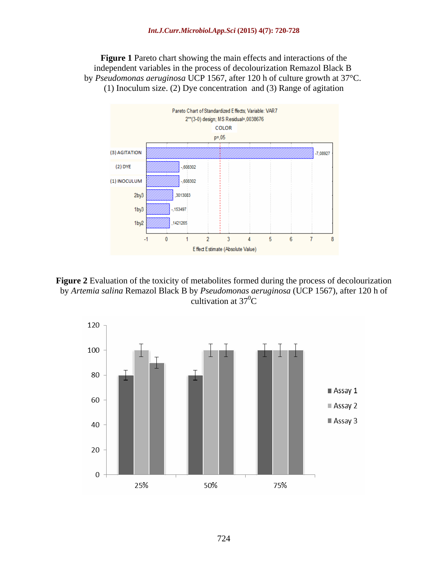**Figure 1** Pareto chart showing the main effects and interactions of the independent variables in the process of decolourization Remazol Black B by *Pseudomonas aeruginosa* UCP 1567, after 120 h of culture growth at 37°C. (1) Inoculum size. (2) Dye concentration and (3) Range of agitation



**Figure 2** Evaluation of the toxicity of metabolites formed during the process of decolourization by *Artemia salina* Remazol Black B by *Pseudomonas aeruginosa* (UCP 1567), after 120 h of cultivation at  $37^0C$ 

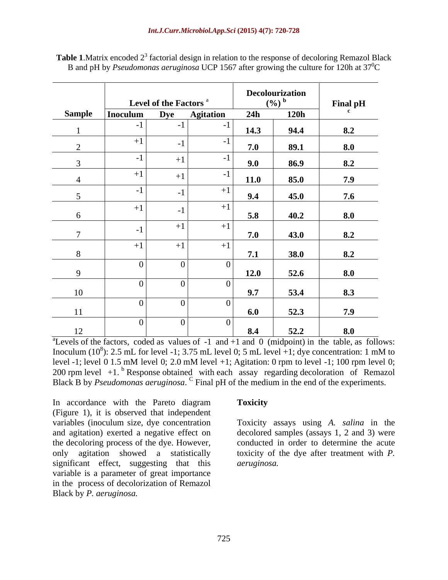|               |          |                                   |                   |           | Decolourization |                 |
|---------------|----------|-----------------------------------|-------------------|-----------|-----------------|-----------------|
|               |          | Level of the Factors <sup>a</sup> |                   | $(9/0)^6$ |                 | <b>Final pH</b> |
| <b>Sample</b> | Inoculum | <b>Dye</b>                        | <b>Agitation</b>  | 24h       | <b>120h</b>     |                 |
|               |          |                                   |                   | 14.3      | 94.4            | 8.2             |
|               | $+1$     |                                   |                   | 7.0       | 89.1            | 8.0             |
|               |          |                                   |                   | 9.0       | 86.9            | 8.2             |
|               | $+1$     |                                   | $\blacksquare$    | 11.0      | 85.0            | 7.9             |
|               |          |                                   | $+1$              | 9.4       | 45.0            | 7.6             |
|               | $+1$     |                                   | $+1$ <sup>'</sup> |           |                 |                 |
| $\sigma$      |          |                                   |                   | 5.8       | 40.2            | 8.0             |
|               |          | $+1$                              | $+1$              | 7.0       | 43.0            | 8.2             |
| 8             | $+1$     | $+1$                              | $+1$              | 7.1       | 38.0            | 8.2             |
|               |          |                                   |                   |           |                 |                 |
| $\Omega$      |          |                                   |                   | 12.0      | 52.6            | 8.0             |
|               |          |                                   |                   |           |                 |                 |
| 10            |          |                                   |                   | 9.7       | 53.4            | 8.3             |
|               |          |                                   |                   | 6.0       | 52.3            | 7.9             |
| $-11$         |          |                                   |                   |           |                 |                 |
| 12            |          |                                   |                   | 8.4       | 52.2            | 8.0             |

Table 1. Matrix encoded 2<sup>3</sup> factorial design in relation to the response of decoloring Remazol Black B and pH by *Pseudomonas aeruginosa* UCP 1567 after growing the culture for 120h at  $37^{\circ}$ C

<sup>a</sup>Levels of the factors, coded as values of  $-1$  and  $+1$  and  $0$  (midpoint) in the table, as follows: Inoculum  $(10^8)$ : 2.5 mL for level -1; 3.75 mL level 0; 5 mL level +1; dye concentration: 1 mM to level -1; level 0 1.5 mM level 0; 2.0 mM level +1; Agitation: 0 rpm to level -1; 100 rpm level 0; 200 rpm level  $+1$ . <sup>b</sup> Response obtained with each assay regarding decoloration of Remazol Black B by *Pseudomonas aeruginosa*. <sup>C</sup> Final pH of the medium in the end of the experiments.

In accordance with the Pareto diagram Toxicity (Figure 1), it is observed that independent variables (inoculum size, dye concentration Toxicity assays using *A. salina* in the and agitation) exerted a negative effect on the decoloring process of the dye. However, only agitation showed a statistically toxicity of the dye after treatment with *P.*  significant effect, suggesting that this variable is a parameter of great importance in the process of decolorization of Remazol Black by *P. aeruginosa.*

## **Toxicity**

decolored samples (assays 1, 2 and 3) were conducted in order to determine the acute *aeruginosa.*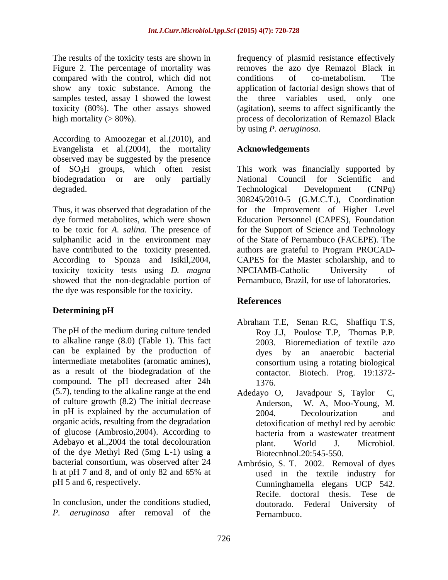The results of the toxicity tests are shown in frequency of plasmid resistance effectively Figure 2. The percentage of mortality was removes the azo dye Remazol Black in compared with the control, which did not conditions of co-metabolism. The show any toxic substance. Among the application of factorial design shows that of samples tested, assay 1 showed the lowest the three variables used, only one toxicity (80%). The other assays showed high mortality  $(>80\%)$ . high mortality (> 80%). The process of decolorization of Remazol Black

According to Amoozegar et al.(2010), and Evangelista et al.(2004), the mortality observed may be suggested by the presence degraded. Technological Development (CNPq)

toxicity toxicity tests using *D. magna* showed that the non-degradable portion of the dye was responsible for the toxicity.

# **Determining pH**

The pH of the medium during culture tended to alkaline range (8.0) (Table 1). This fact can be explained by the production of intermediate metabolites (aromatic amines), as a result of the biodegradation of the compound. The pH decreased after 24h (5.7), tending to the alkaline range at the end of culture growth (8.2) The initial decrease in pH is explained by the accumulation of 2004. Decolourization and organic acids, resulting from the degradation of glucose (Ambrosio,2004). According to Adebayo et al., 2004 the total decolouration blant. World J. Microbiol. of the dye Methyl Red (5mg L-1) using a bacterial consortium, was observed after 24 Ambrósio, S. T. 2002. Removal of dyes

In conclusion, under the conditions studied,  $\qquad \qquad$  doutorado. Federal University of *P. aeruginosa* after removal of the

conditions of co-metabolism. The (agitation), seems to affect significantly the by using *P. aeruginosa*.

# **Acknowledgements**

of SO3H groups, which often resist This work was financially supported by biodegradation or are only partially Mational Council for Scientific and Thus, it was observed that degradation of the for the Improvement of Higher Level dye formed metabolites, which were shown Education Personnel (CAPES), Foundation to be toxic for *A. salina.* The presence of for the Support of Science and Technology sulphanilic acid in the environment may of the State of Pernambuco (FACEPE). The have contributed to the toxicity presented. authors are grateful to Program PROCAD-According to Sponza and Isikil,2004, CAPES for the Master scholarship, and to National Council for Scientific and Technological Development (CNPq) 308245/2010-5 (G.M.C.T.), Coordination NPCIAMB-Catholic University of Pernambuco, Brazil, for use of laboratories.

# **References**

- Abraham T.E, Senan R.C, Shaffiqu T.S, Roy J.J, Poulose T.P, Thomas P.P. 2003. Bioremediation of textile azo dyes by an anaerobic bacterial consortium using a rotating biological contactor. Biotech. Prog. 19:1372- 1376.
- Javadpour S, Taylor W. A, Moo-Young, M. 2004. Decolourization and detoxification of methyl red by aerobic bacteria from a wastewater treatment plant. World J. Microbiol. Biotecnhnol.20:545-550.
- h at pH 7 and 8, and of only 82 and 65% at we used in the textile industry for pH 5 and 6, respectively. Cunninghamella elegans UCP 542. used in the textile industry for Recife. doctoral thesis. Tese de doutorado. Federal University of Pernambuco.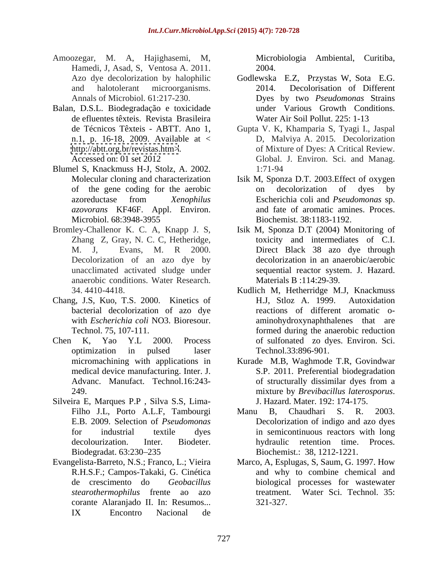- Amoozegar, M. A, Hajighasemi, M, Hamedi, J, Asad, S, Ventosa A. 2011.
- Balan, D.S.L. Biodegradação e toxicidade de efluentes têxteis. Revista Brasileira
- Blumel S, Knackmuss H-J, Stolz, A. 2002.
- anaerobic conditions. Water Research. 34. 4410-4418. Kudlich M, Hetherridge M.J, Knackmuss
- Chang, J.S, Kuo, T.S. 2000. Kinetics of bacterial decolorization of azo dye
- 
- Silveira E, Marques P.P , Silva S.S, Lima- J. Hazard. Mater. 192: 174-175. Biodegradat. 63:230 235
- corante Alaranjado II. In: Resumos... IX Encontro Nacional de

Microbiologia Ambiental, Curitiba, 2004.

- Azo dye decolorization by halophilic Godlewska E.Z, Przystas W, Sota E.G. and halotolerant microorganisms. 2014. Decolorisation of Different Annals of Microbiol. 61:217-230. Dyes by two *Pseudomonas* Strains under Various Growth Conditions. Water Air Soil Pollut. 225: 1-13
- de Técnicos Têxteis ABTT. Ano 1, Gupta V. K, Khamparia S, Tyagi I., Jaspal n.1, p. 16-18, 2009. Available at < D, Malviya A. 2015. Decolorization <http://abtt.org.br/revistas.htm>>. of Mixture of Dyes: A Critical Review. Accessed on: 01 set 2012 Global. J. Environ. Sci. and Manag. 1:71-94
- Molecular cloning and characterization Isik M, Sponza D.T. 2003.Effect of oxygen of the gene coding for the aerobic azoreductase from *Xenophilus azovorans* KF46F. Appl. Environ. and fate of aromatic amines. Proces. Microbiol. 68:3948-3955 Biochemist. 38:1183-1192. on decolorization of dyes by Escherichia coli and *Pseudomonas* sp. Biochemist. 38:1183-1192.
- Bromley-Challenor K. C. A, Knapp J. S, Isik M, Sponza D.T (2004) Monitoring of Zhang Z, Gray, N. C. C, Hetheridge, toxicity and intermediates of C.I. M. J, Evans, M. R 2000. Direct Black 38 azo dye through Decolorization of an azo dye by decolorization in an anaerobic/aerobic unacclimated activated sludge under sequential reactor system. J. Hazard. Materials B :114:29-39.
- with *Escherichia coli* NO3. Bioresour. aminohydroxynaphthalenes that are Technol. 75, 107-111. formed during the anaerobic reduction Chen K, Yao Y.L 2000. Process of sulfonated zo dyes. Environ. Sci. optimization in pulsed laser Technol.33:896-901. H.J, Stloz A. 1999. Autoxidation reactions of different aromatic o- Technol.33:896-901.
	- micromachining with applications in Kurade M.B, Waghmode T.R, Govindwar medical device manufacturing. Inter. J. S.P. 2011. Preferential biodegradation Advanc. Manufact. Technol.16:243- of structurally dissimilar dyes from a 249. 2013 and the mixture by *Brevibacillus laterosporus*. of structurally dissimilar dyes from a mixture by *Brevibacillus laterosporus*. J. Hazard. Mater. 192: 174-175.
	- Filho J.L, Porto A.L.F, Tambourgi Manu B, Chaudhari S. R. 2003. E.B. 2009. Selection of *Pseudomonas* Decolorization of indigo and azo dyes for industrial textile dyes in semicontinuous reactors with long decolourization. Inter. Biodeter. hydraulic retention time. Proces. Manu B, Chaudhari S. R. 2003. Biochemist.: 38, 1212-1221.
- Evangelista-Barreto, N.S.; Franco, L.; Vieira Marco, A, Esplugas, S, Saum, G. 1997. How R.H.S.F.; Campos-Takaki, G. Cinética and why to combine chemical and de crescimento do *Geobacillus*  biological processes for wastewater *stearothermophilus* frente ao azo treatment. Water Sci. Technol. 35: 321-327.